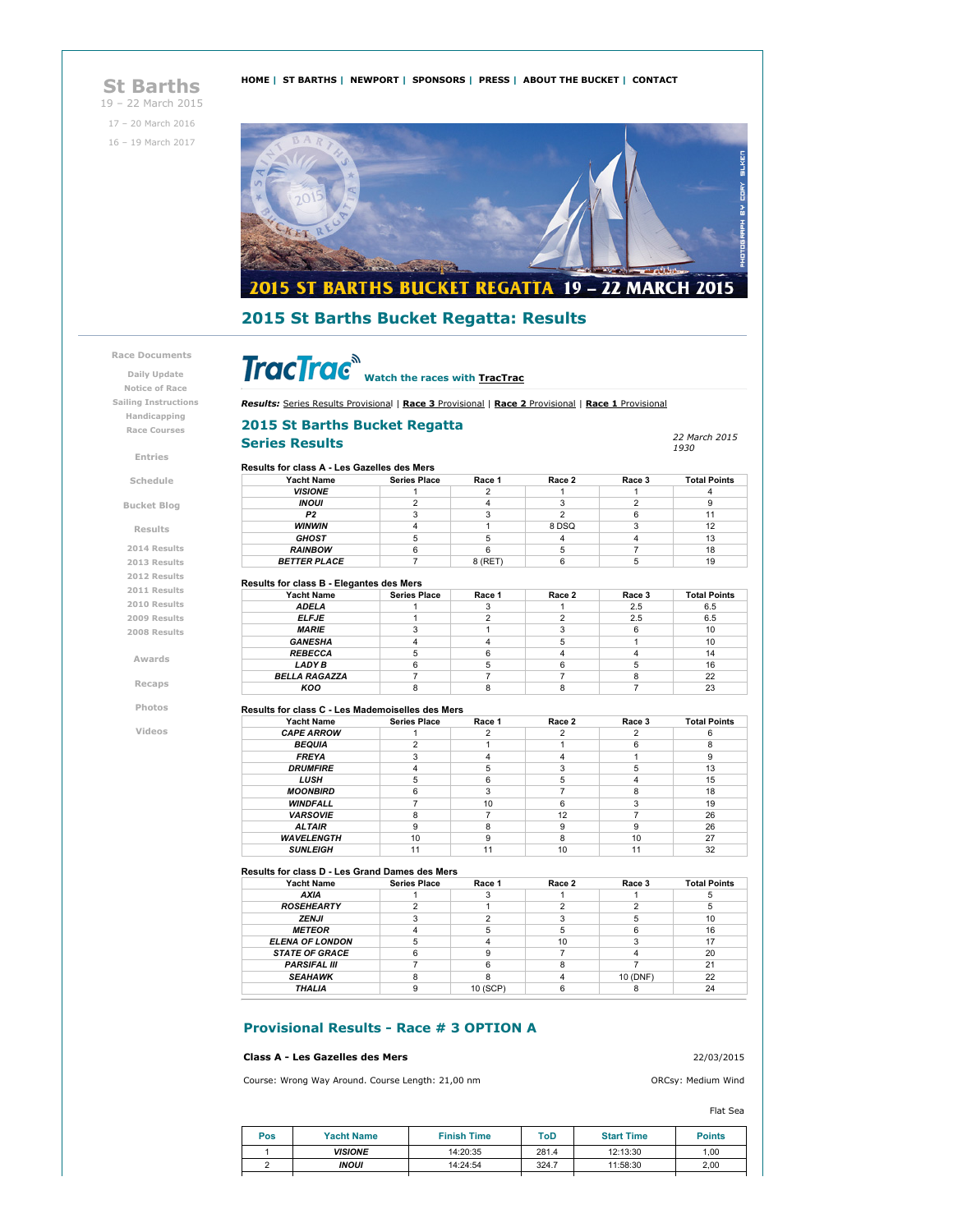# **St Barths**

19 – 22 March 2015 17 – 20 March 2016 16 – 19 March 2017





# **2015 St Barths Bucket Regatta: Results**

### **Race Documents**

**Daily Update Notice of Race Sailing Instructions Handicapping Race Courses**

**Entries**

#### **Schedule**

**Bucket Blog**

**Results**

**2014 Results 2013 Results 2012 Results 2011 Results 2010 Results 2009 Results 2008 Results**

**Awards**

**Recaps**

**Photos**

**Videos**

# **Watch the races with TracTrac**

*Results:* Series Results Provisional | **Race 3** Provisional | **Race 2** Provisional | **Race 1** Provisional

### **2015 St Barths Bucket Regatta**

# $S$ *Beries* **Results**

*1930*

| <b>Yacht Name</b>   | <b>Series Place</b> | Race 1  | Race 2 | Race 3 | <b>Total Points</b> |
|---------------------|---------------------|---------|--------|--------|---------------------|
| <b>VISIONE</b>      |                     |         |        |        |                     |
| <b>INOUI</b>        |                     |         |        |        |                     |
| P <sub>2</sub>      |                     |         |        |        | 11                  |
| <b>WINWIN</b>       |                     |         | 8 DSQ  |        | 12                  |
| <b>GHOST</b>        |                     | 5       |        |        | 13                  |
| <b>RAINBOW</b>      |                     |         |        |        | 18                  |
| <b>BETTER PLACE</b> |                     | 8 (RET) |        |        | 19                  |

| <b>Yacht Name</b>    | <b>Series Place</b> | Race 1 | Race 2 | Race 3 | <b>Total Points</b> |
|----------------------|---------------------|--------|--------|--------|---------------------|
| <b>ADELA</b>         |                     |        |        | 2.5    | 6.5                 |
| <b>ELFJE</b>         |                     |        |        | 2.5    | 6.5                 |
| <b>MARIE</b>         |                     |        |        |        | 10                  |
| <b>GANESHA</b>       |                     |        |        |        | 10                  |
| <b>REBECCA</b>       |                     |        |        |        | 14                  |
| LADY B               |                     |        |        |        | 16                  |
| <b>BELLA RAGAZZA</b> |                     |        |        |        | 22                  |
| KOO                  |                     |        |        |        | 23                  |

#### **Results for class C - Les Mademoiselles des Mers**

| <b>Yacht Name</b> | <b>Series Place</b> | Race 1 | Race 2 | Race 3 | <b>Total Points</b> |
|-------------------|---------------------|--------|--------|--------|---------------------|
| <b>CAPE ARROW</b> |                     |        |        |        |                     |
| <b>BEQUIA</b>     |                     |        |        |        |                     |
| <b>FREYA</b>      |                     |        |        |        |                     |
| <b>DRUMFIRE</b>   |                     |        |        |        | 13                  |
| <b>LUSH</b>       |                     | ี่ค    |        |        | 15                  |
| <b>MOONBIRD</b>   |                     |        |        |        | 18                  |
| <b>WINDFALL</b>   |                     | 10     |        |        | 19                  |
| <b>VARSOVIE</b>   |                     |        | 12     |        | 26                  |
| <b>ALTAIR</b>     |                     |        |        | 9      | 26                  |
| <b>WAVELENGTH</b> | 10                  |        |        | 10     | 27                  |
| <b>SUNLEIGH</b>   | 11                  | 11     | 10     |        | 32                  |

#### **Results for class D - Les Grand Dames des Mers**

| <b>Yacht Name</b>      | <b>Series Place</b> | Race 1   | Race 2 | Race 3   | <b>Total Points</b> |
|------------------------|---------------------|----------|--------|----------|---------------------|
| AXIA                   |                     |          |        |          |                     |
| <b>ROSEHEARTY</b>      |                     |          |        |          |                     |
| ZENJI                  |                     |          |        |          | 10                  |
| <b>METEOR</b>          |                     |          |        |          | 16                  |
| <b>ELENA OF LONDON</b> |                     |          | 10     |          |                     |
| <b>STATE OF GRACE</b>  |                     |          |        |          | 20                  |
| <b>PARSIFAL III</b>    |                     |          |        |          | 21                  |
| <b>SEAHAWK</b>         |                     |          |        | 10 (DNF) | 22                  |
| THALIA                 |                     | 10 (SCP) |        |          | 24                  |

### **Provisional Results - Race # 3 OPTION A**

#### **Class A - Les Gazelles des Mers** 22/03/2015

Course: Wrong Way Around. Course Length: 21,00 nm ORCsy: Medium Wind

#### Flat Sea

| Pos | <b>Yacht Name</b>     | <b>Finish Time</b> | ToD   | <b>Start Time</b> | <b>Points</b> |
|-----|-----------------------|--------------------|-------|-------------------|---------------|
|     | <i><b>VISIONE</b></i> | 14:20:35           | 281.4 | 12:13:30          | 1.00          |
|     | <b>INOUI</b>          | 14:24:54           | 324.7 | 11:58:30          | 2,00          |
|     |                       |                    |       |                   |               |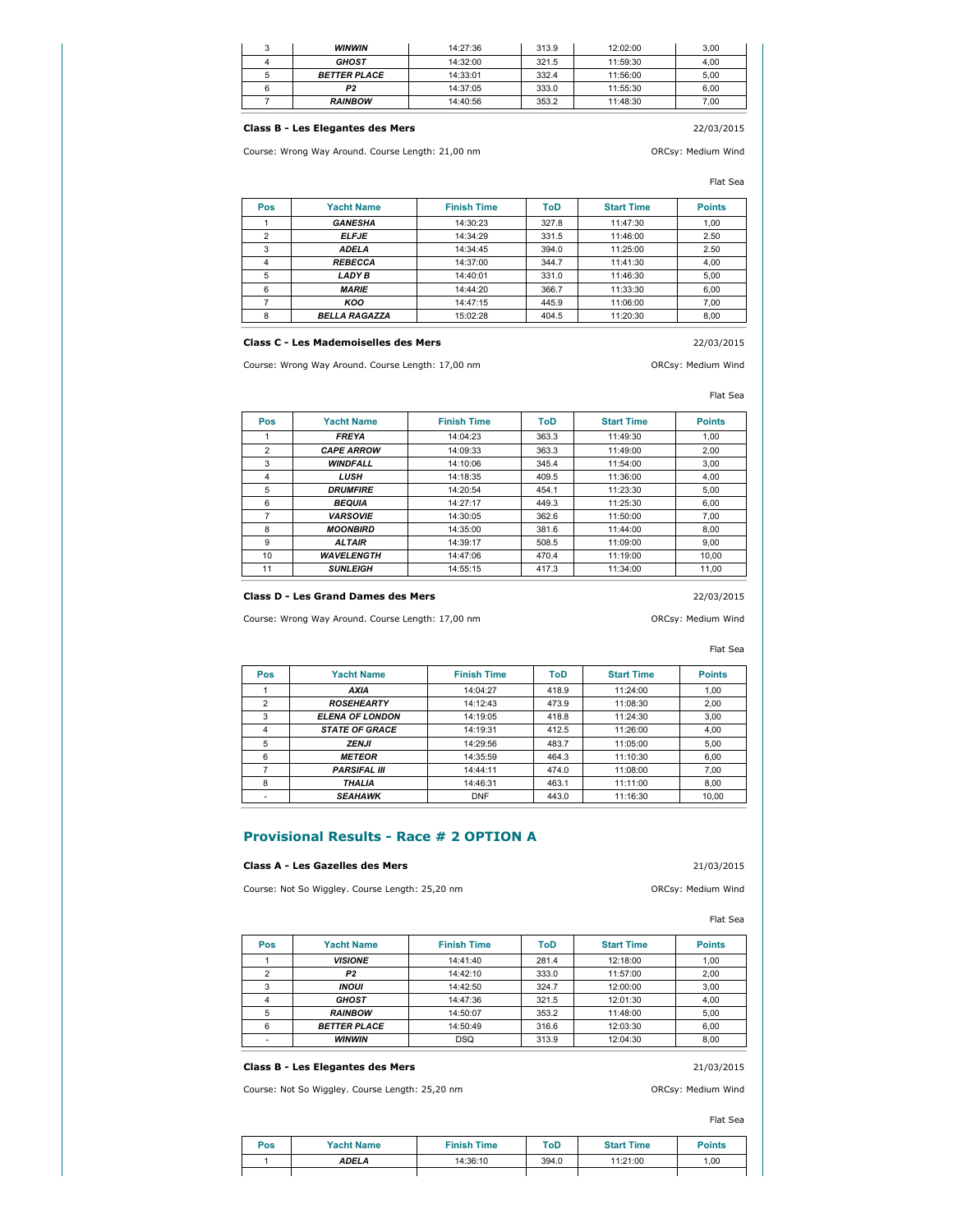| <b>WINWIN</b>       | 14:27:36 | 313.9 | 12:02:00 | 3.00 |
|---------------------|----------|-------|----------|------|
| <b>GHOST</b>        | 14:32:00 | 321.5 | 11:59:30 | 4.00 |
| <b>BETTER PLACE</b> | 14:33:01 | 332.4 | 11:56:00 | 5.00 |
| P2                  | 14:37:05 | 333.0 | 11:55:30 | 6.00 |
| <b>RAINBOW</b>      | 14:40:56 | 353.2 | 11:48:30 | 7.00 |

# **Class B - Les Elegantes des Mers** 22/03/2015

Course: Wrong Way Around. Course Length: 21,00 nm ORCsy: Medium Wind

Flat Sea

| Pos | <b>Yacht Name</b>    | <b>Finish Time</b> | ToD   | <b>Start Time</b> | <b>Points</b> |
|-----|----------------------|--------------------|-------|-------------------|---------------|
|     | <b>GANESHA</b>       | 14:30:23           | 327.8 | 11:47:30          | 1,00          |
| 2   | <b>ELFJE</b>         | 14:34:29           | 331.5 | 11:46:00          | 2.50          |
| 3   | <b>ADELA</b>         | 14:34:45           | 394.0 | 11:25:00          | 2.50          |
| 4   | <b>REBECCA</b>       | 14:37:00           | 344.7 | 11:41:30          | 4,00          |
| 5   | <b>LADY B</b>        | 14:40:01           | 331.0 | 11:46:30          | 5,00          |
| 6   | <b>MARIE</b>         | 14:44:20           | 366.7 | 11:33:30          | 6,00          |
|     | KOO                  | 14:47:15           | 445.9 | 11:06:00          | 7,00          |
| 8   | <b>BELLA RAGAZZA</b> | 15:02:28           | 404.5 | 11:20:30          | 8,00          |

# **Class C - Les Mademoiselles des Mers** 22/03/2015

Course: Wrong Way Around. Course Length: 17,00 nm ORCsy: Medium Wind

Flat Sea

| <b>Pos</b>     | <b>Yacht Name</b> | <b>Finish Time</b> | ToD   | <b>Start Time</b> | <b>Points</b> |
|----------------|-------------------|--------------------|-------|-------------------|---------------|
|                | <b>FREYA</b>      | 14:04:23           | 363.3 | 11:49:30          | 1.00          |
| $\overline{2}$ | <b>CAPE ARROW</b> | 14:09:33           | 363.3 | 11:49:00          | 2.00          |
| 3              | <b>WINDFALL</b>   | 14:10:06           | 345.4 | 11:54:00          | 3.00          |
| 4              | <b>LUSH</b>       | 14:18:35           | 409.5 | 11:36:00          | 4.00          |
| 5              | <b>DRUMFIRE</b>   | 14:20:54           | 454.1 | 11:23:30          | 5.00          |
| 6              | <b>BEQUIA</b>     | 14:27:17           | 449.3 | 11:25:30          | 6.00          |
| 7              | <b>VARSOVIE</b>   | 14:30:05           | 362.6 | 11:50:00          | 7.00          |
| 8              | <b>MOONBIRD</b>   | 14:35:00           | 381.6 | 11:44:00          | 8.00          |
| 9              | <b>ALTAIR</b>     | 14:39:17           | 508.5 | 11:09:00          | 9.00          |
| 10             | <b>WAVELENGTH</b> | 14:47:06           | 470.4 | 11:19:00          | 10.00         |
| 11             | <b>SUNLEIGH</b>   | 14:55:15           | 417.3 | 11:34:00          | 11.00         |

#### **Class D - Les Grand Dames des Mers** 22/03/2015

Course: Wrong Way Around. Course Length: 17,00 nm Course Course: Medium Wind

# Flat Sea

| Pos            | <b>Yacht Name</b>      | <b>Finish Time</b> | ToD   | <b>Start Time</b> | <b>Points</b> |
|----------------|------------------------|--------------------|-------|-------------------|---------------|
|                | AXIA                   | 14:04:27           | 418.9 | 11:24:00          | 1,00          |
| $\overline{2}$ | <b>ROSEHEARTY</b>      | 14:12:43           | 473.9 | 11:08:30          | 2.00          |
| 3              | <b>ELENA OF LONDON</b> | 14:19:05           | 418.8 | 11:24:30          | 3.00          |
| 4              | <b>STATE OF GRACE</b>  | 14:19:31           | 412.5 | 11:26:00          | 4.00          |
| 5              | <b>ZENJI</b>           | 14:29:56           | 483.7 | 11:05:00          | 5.00          |
| 6              | <b>METEOR</b>          | 14:35:59           | 464.3 | 11:10:30          | 6,00          |
|                | <b>PARSIFAL III</b>    | 14:44:11           | 474.0 | 11:08:00          | 7.00          |
| 8              | <b>THALIA</b>          | 14:46:31           | 463.1 | 11:11:00          | 8.00          |
|                | <b>SEAHAWK</b>         | <b>DNF</b>         | 443.0 | 11:16:30          | 10,00         |

# **Provisional Results - Race # 2 OPTION A**

### **Class A - Les Gazelles des Mers** 21/03/2015

Course: Not So Wiggley. Course Length: 25,20 nm **ORCSY: Medium Wind** 

Flat Sea

| Pos | <b>Yacht Name</b>   | <b>Finish Time</b> | ToD   | <b>Start Time</b> | <b>Points</b> |
|-----|---------------------|--------------------|-------|-------------------|---------------|
|     | <b>VISIONE</b>      | 14:41:40           | 281.4 | 12:18:00          | 1,00          |
|     | P <sub>2</sub>      | 14:42:10           | 333.0 | 11:57:00          | 2,00          |
|     | <b>INOUI</b>        | 14:42:50           | 324.7 | 12:00:00          | 3,00          |
|     | <b>GHOST</b>        | 14:47:36           | 321.5 | 12:01:30          | 4,00          |
| 5   | <b>RAINBOW</b>      | 14:50:07           | 353.2 | 11:48:00          | 5,00          |
|     | <b>BETTER PLACE</b> | 14:50:49           | 316.6 | 12:03:30          | 6,00          |
|     | <b>WINWIN</b>       | <b>DSQ</b>         | 313.9 | 12:04:30          | 8,00          |

### **Class B - Les Elegantes des Mers** 21/03/2015

Course: Not So Wiggley. Course Length: 25,20 nm ORCsy: Medium Wind

Flat Sea

| Pos | <b>Yacht Name</b> | <b>Finish Time</b> | ToD   | <b>Start Time</b> | <b>Points</b> |
|-----|-------------------|--------------------|-------|-------------------|---------------|
|     | ADELA             | 14:36:10           | 394.0 | 11:21:00          | 1,00          |
|     |                   |                    |       |                   |               |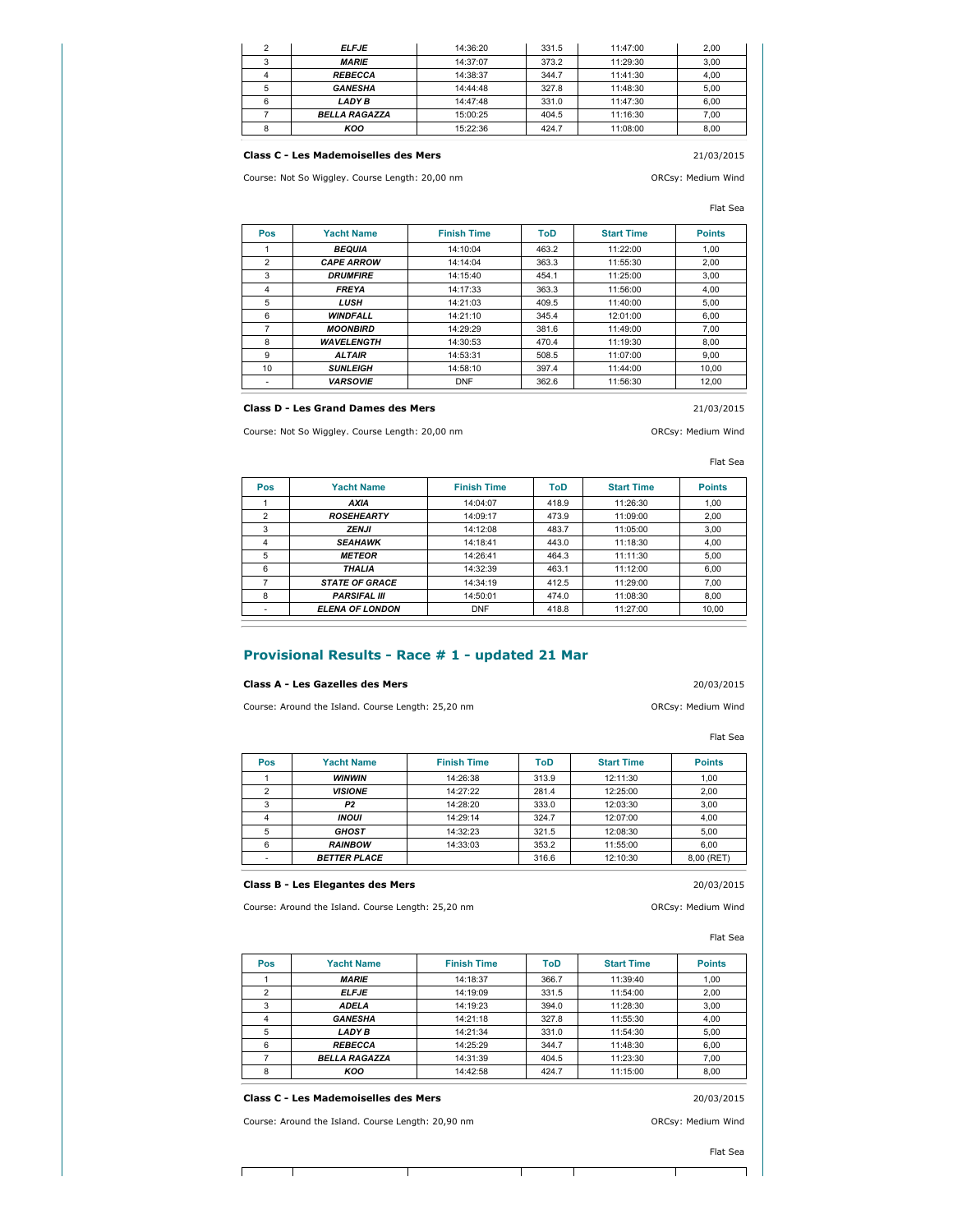| <b>ELFJE</b>         | 14:36:20 | 331.5 | 11:47:00 | 2,00 |
|----------------------|----------|-------|----------|------|
| <b>MARIE</b>         | 14:37:07 | 373.2 | 11:29:30 | 3.00 |
| <b>REBECCA</b>       | 14:38:37 | 344.7 | 11:41:30 | 4.00 |
| <b>GANESHA</b>       | 14:44:48 | 327.8 | 11:48:30 | 5.00 |
| <b>LADY B</b>        | 14:47:48 | 331.0 | 11:47:30 | 6.00 |
| <b>BELLA RAGAZZA</b> | 15:00:25 | 404.5 | 11:16:30 | 7.00 |
| KOO                  | 15:22:36 | 424.7 | 11:08:00 | 8.00 |

### **Class C - Les Mademoiselles des Mers** 21/03/2015

Course: Not So Wiggley. Course Length: 20,00 nm ORCsy: Medium Wind

#### Flat Sea

| Pos            | <b>Yacht Name</b> | <b>Finish Time</b> | ToD   | <b>Start Time</b> | <b>Points</b> |
|----------------|-------------------|--------------------|-------|-------------------|---------------|
|                | <b>BEQUIA</b>     | 14:10:04           | 463.2 | 11:22:00          | 1.00          |
| $\overline{2}$ | <b>CAPE ARROW</b> | 14:14:04           | 363.3 | 11:55:30          | 2.00          |
| 3              | <b>DRUMFIRE</b>   | 14:15:40           | 454.1 | 11:25:00          | 3.00          |
| 4              | <b>FREYA</b>      | 14:17:33           | 363.3 | 11:56:00          | 4.00          |
| 5              | <b>LUSH</b>       | 14:21:03           | 409.5 | 11:40:00          | 5.00          |
| 6              | <b>WINDFALL</b>   | 14:21:10           | 345.4 | 12:01:00          | 6.00          |
| 7              | <b>MOONBIRD</b>   | 14:29:29           | 381.6 | 11:49:00          | 7.00          |
| 8              | <b>WAVELENGTH</b> | 14:30:53           | 470.4 | 11:19:30          | 8.00          |
| 9              | <b>ALTAIR</b>     | 14:53:31           | 508.5 | 11:07:00          | 9,00          |
| 10             | <b>SUNLEIGH</b>   | 14:58:10           | 397.4 | 11:44:00          | 10.00         |
|                | <b>VARSOVIE</b>   | <b>DNF</b>         | 362.6 | 11:56:30          | 12.00         |

# **Class D - Les Grand Dames des Mers** 21/03/2015

Course: Not So Wiggley. Course Length: 20,00 nm ORCsy: Medium Wind

# Flat Sea

| Pos | <b>Yacht Name</b>      | <b>Finish Time</b> | ToD   | <b>Start Time</b> | <b>Points</b> |
|-----|------------------------|--------------------|-------|-------------------|---------------|
|     | <b>AXIA</b>            | 14:04:07           | 418.9 | 11:26:30          | 1,00          |
|     | <b>ROSEHEARTY</b>      | 14:09:17           | 473.9 | 11:09:00          | 2,00          |
| 3   | <b>ZENJI</b>           | 14:12:08           | 483.7 | 11:05:00          | 3.00          |
| 4   | <b>SEAHAWK</b>         | 14:18:41           | 443.0 | 11:18:30          | 4.00          |
| 5   | <b>METEOR</b>          | 14:26:41           | 464.3 | 11:11:30          | 5.00          |
| 6   | <b>THALIA</b>          | 14:32:39           | 463.1 | 11:12:00          | 6.00          |
|     | <b>STATE OF GRACE</b>  | 14:34:19           | 412.5 | 11:29:00          | 7.00          |
| 8   | <b>PARSIFAL III</b>    | 14:50:01           | 474.0 | 11:08:30          | 8.00          |
|     | <b>ELENA OF LONDON</b> | <b>DNF</b>         | 418.8 | 11:27:00          | 10,00         |

# **Provisional Results - Race # 1 - updated 21 Mar**

#### **Class A - Les Gazelles des Mers** 20/03/2015

Course: Around the Island. Course Length: 25,20 nm ORCsy: Medium Wind

Flat Sea

| Pos | <b>Yacht Name</b>   | <b>Finish Time</b> | ToD   | <b>Start Time</b> | <b>Points</b> |
|-----|---------------------|--------------------|-------|-------------------|---------------|
|     | <b>WINWIN</b>       | 14:26:38           | 313.9 | 12:11:30          | 1,00          |
|     | <b>VISIONE</b>      | 14:27:22           | 281.4 | 12:25:00          | 2,00          |
| 3   | P <sub>2</sub>      | 14:28:20           | 333.0 | 12:03:30          | 3,00          |
|     | <b>INOUI</b>        | 14:29:14           | 324.7 | 12:07:00          | 4.00          |
| 5   | <b>GHOST</b>        | 14:32:23           | 321.5 | 12:08:30          | 5.00          |
| 6   | <b>RAINBOW</b>      | 14:33:03           | 353.2 | 11:55:00          | 6.00          |
|     | <b>BETTER PLACE</b> |                    | 316.6 | 12:10:30          | 8,00 (RET)    |

#### **Class B - Les Elegantes des Mers** 20/03/2015

Course: Around the Island. Course Length: 25,20 nm ORCsy: Medium Wind

Flat Sea

| <b>Pos</b>     | <b>Yacht Name</b>    | <b>Finish Time</b> | ToD   | <b>Start Time</b> | <b>Points</b> |
|----------------|----------------------|--------------------|-------|-------------------|---------------|
|                | <b>MARIE</b>         | 14:18:37           | 366.7 | 11:39:40          | 1,00          |
| $\overline{2}$ | <b>ELFJE</b>         | 14:19:09           | 331.5 | 11:54:00          | 2,00          |
| 3              | <b>ADELA</b>         | 14:19:23           | 394.0 | 11:28:30          | 3,00          |
| 4              | <b>GANESHA</b>       | 14:21:18           | 327.8 | 11:55:30          | 4,00          |
| 5              | LADY B               | 14:21:34           | 331.0 | 11:54:30          | 5,00          |
| 6              | <b>REBECCA</b>       | 14:25:29           | 344.7 | 11:48:30          | 6,00          |
|                | <b>BELLA RAGAZZA</b> | 14:31:39           | 404.5 | 11:23:30          | 7,00          |
| 8              | KOO                  | 14:42:58           | 424.7 | 11:15:00          | 8,00          |

#### **Class C - Les Mademoiselles des Mers** 20/03/2015

Course: Around the Island. Course Length: 20,90 nm ORCsy: Medium Wind

Т

Flat Sea

т

Ē

Τ